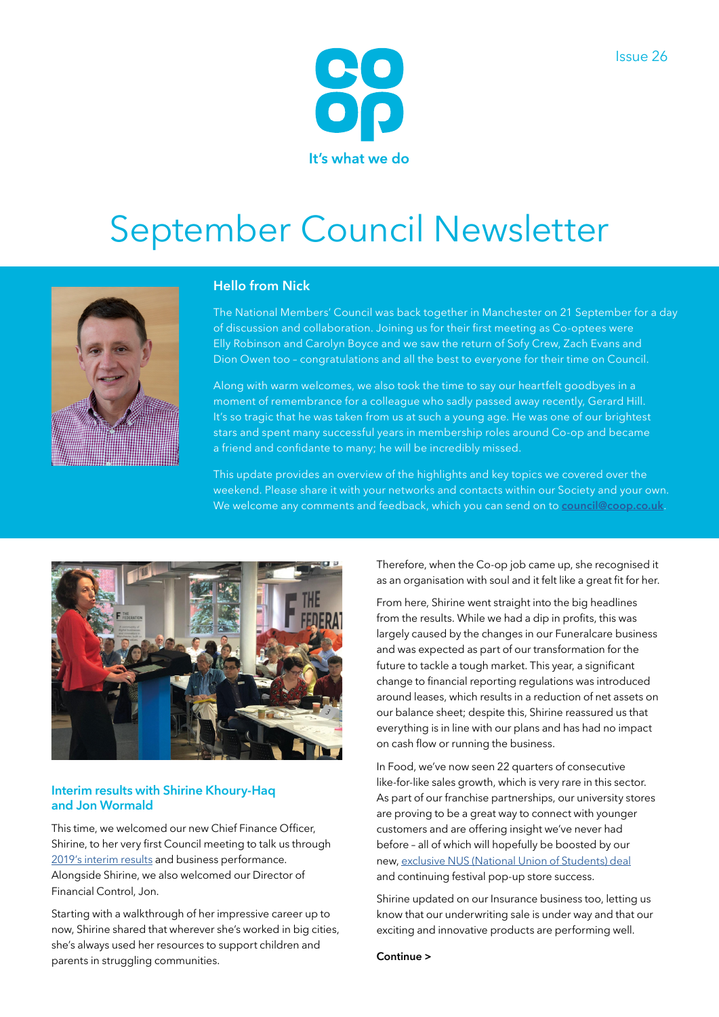

# September Council Newsletter



## **Hello from Nick**

The National Members' Council was back together in Manchester on 21 September for a day of discussion and collaboration. Joining us for their first meeting as Co-optees were Elly Robinson and Carolyn Boyce and we saw the return of Sofy Crew, Zach Evans and Dion Owen too – congratulations and all the best to everyone for their time on Council.

Along with warm welcomes, we also took the time to say our heartfelt goodbyes in a moment of remembrance for a colleague who sadly passed away recently, Gerard Hill. It's so tragic that he was taken from us at such a young age. He was one of our brightest stars and spent many successful years in membership roles around Co-op and became a friend and confidante to many; he will be incredibly missed.

This update provides an overview of the highlights and key topics we covered over the weekend. Please share it with your networks and contacts within our Society and your own. We welcome any comments and feedback, which you can send on to **[council@coop.co.uk](mailto:council%40coop.co.uk?subject=)**.



### **Interim results with Shirine Khoury-Haq and Jon Wormald**

This time, we welcomed our new Chief Finance Officer, Shirine, to her very first Council meeting to talk us through [2019's interim results](https://www.co-operative.coop/media/news-releases/co-op-community-impact-grows-on-strong-food-performance) and business performance. Alongside Shirine, we also welcomed our Director of Financial Control, Jon.

Starting with a walkthrough of her impressive career up to now, Shirine shared that wherever she's worked in big cities, she's always used her resources to support children and parents in struggling communities.

Therefore, when the Co-op job came up, she recognised it as an organisation with soul and it felt like a great fit for her.

From here, Shirine went straight into the big headlines from the results. While we had a dip in profits, this was largely caused by the changes in our Funeralcare business and was expected as part of our transformation for the future to tackle a tough market. This year, a significant change to financial reporting regulations was introduced around leases, which results in a reduction of net assets on our balance sheet; despite this, Shirine reassured us that everything is in line with our plans and has had no impact on cash flow or running the business.

In Food, we've now seen 22 quarters of consecutive like-for-like sales growth, which is very rare in this sector. As part of our franchise partnerships, our university stores are proving to be a great way to connect with younger customers and are offering insight we've never had before – all of which will hopefully be boosted by our new, [exclusive NUS \(National Union of Students\) deal](https://www.co-operative.coop/media/news-releases/national-union-of-students-grants-co-op-exclusive-access) and continuing festival pop-up store success.

Shirine updated on our Insurance business too, letting us know that our underwriting sale is under way and that our exciting and innovative products are performing well.

#### **Continue >**